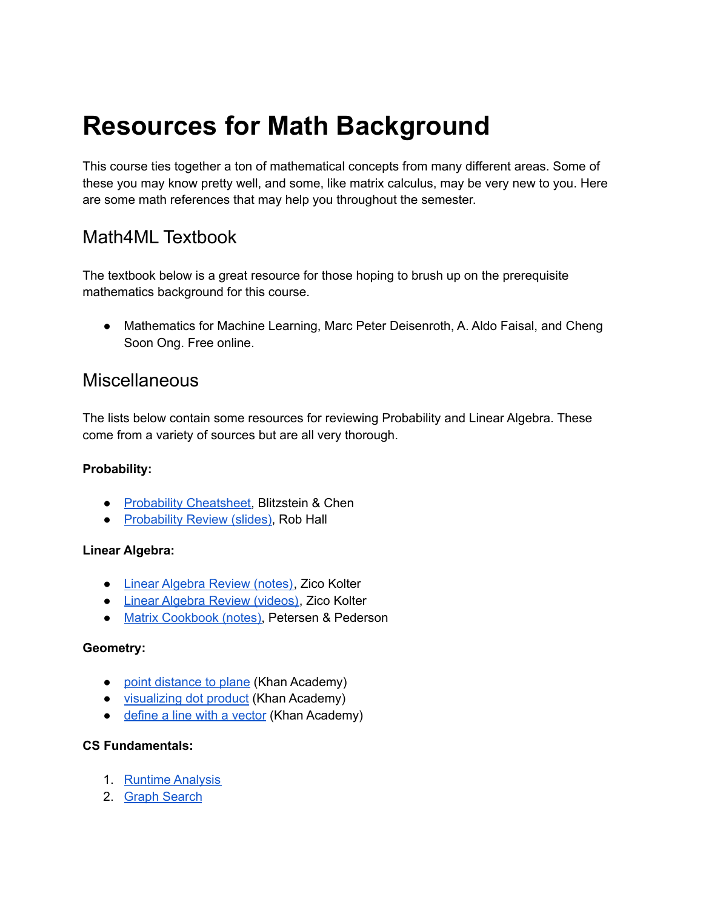# **Resources for Math Background**

This course ties together a ton of mathematical concepts from many different areas. Some of these you may know pretty well, and some, like matrix calculus, may be very new to you. Here are some math references that may help you throughout the semester.

### Math4ML Textbook

The textbook below is a great resource for those hoping to brush up on the prerequisite mathematics background for this course.

● Mathematics for Machine Learning, Marc Peter Deisenroth, A. Aldo Faisal, and Cheng Soon Ong. Free online.

### Miscellaneous

The lists below contain some resources for reviewing Probability and Linear Algebra. These come from a variety of sources but are all very thorough.

#### **Probability:**

- Probability [Cheatsheet,](http://www.wzchen.com/probability-cheatsheet/) Blitzstein & Chen
- [Probability](http://www.cs.cmu.edu/~aarti/Class/10701/recitation/prob_review.pdf) Review (slides), Rob Hall

#### **Linear Algebra:**

- Linear [Algebra](http://www.cs.cmu.edu/~zkolter/course/linalg/linalg_notes.pdf) Review (notes), Zico Kolter
- Linear Algebra Review [\(videos\),](http://www.cs.cmu.edu/~zkolter/course/linalg/) Zico Kolter
- Matrix [Cookbook](http://www2.imm.dtu.dk/pubdb/views/edoc_download.php/3274/pdf/imm3274.pdf) (notes), Petersen & Pederson

#### **Geometry:**

- point [distance](https://www.youtube.com/watch?v=7rIFO8hct9g) to plane (Khan Academy)
- [visualizing](https://www.youtube.com/watch?v=WNuIhXo39_k) dot product (Khan Academy)
- [define](https://www.youtube.com/watch?v=UJxgcVaNTqY) a line with a vector (Khan Academy)

#### **CS Fundamentals:**

- 1. Runtime [Analysis](https://www.cs.cmu.edu/~112/notes/notes-efficiency.html#bigOh)
- 2. Graph [Search](https://www.cs.cmu.edu/~ckingsf/class/02713/lectures/lec07-dfsbfs.pdf)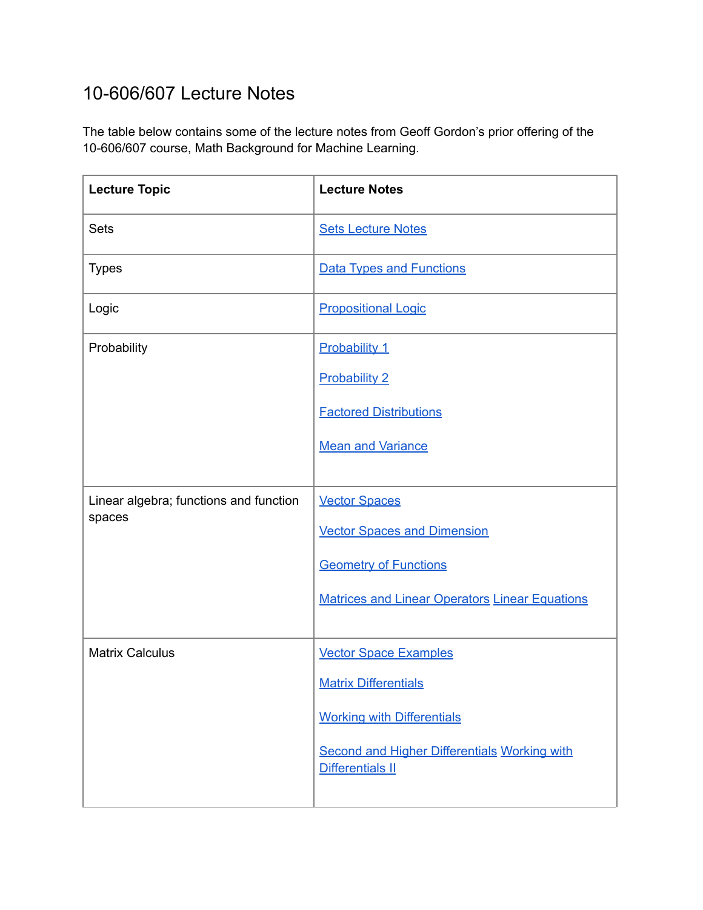## 10-606/607 Lecture Notes

The table below contains some of the lecture notes from Geoff Gordon's prior offering of the 10-606/607 course, Math Background for Machine Learning.

| <b>Lecture Topic</b>                             | <b>Lecture Notes</b>                                                           |
|--------------------------------------------------|--------------------------------------------------------------------------------|
| <b>Sets</b>                                      | <b>Sets Lecture Notes</b>                                                      |
| <b>Types</b>                                     | <b>Data Types and Functions</b>                                                |
| Logic                                            | <b>Propositional Logic</b>                                                     |
| Probability                                      | Probability 1                                                                  |
|                                                  | <b>Probability 2</b>                                                           |
|                                                  | <b>Factored Distributions</b>                                                  |
|                                                  | <b>Mean and Variance</b>                                                       |
|                                                  |                                                                                |
| Linear algebra; functions and function<br>spaces | <b>Vector Spaces</b>                                                           |
|                                                  | <b>Vector Spaces and Dimension</b>                                             |
|                                                  | <b>Geometry of Functions</b>                                                   |
|                                                  | <b>Matrices and Linear Operators Linear Equations</b>                          |
|                                                  |                                                                                |
| <b>Matrix Calculus</b>                           | <b>Vector Space Examples</b>                                                   |
|                                                  | <b>Matrix Differentials</b>                                                    |
|                                                  | <b>Working with Differentials</b>                                              |
|                                                  | <b>Second and Higher Differentials Working with</b><br><b>Differentials II</b> |
|                                                  |                                                                                |